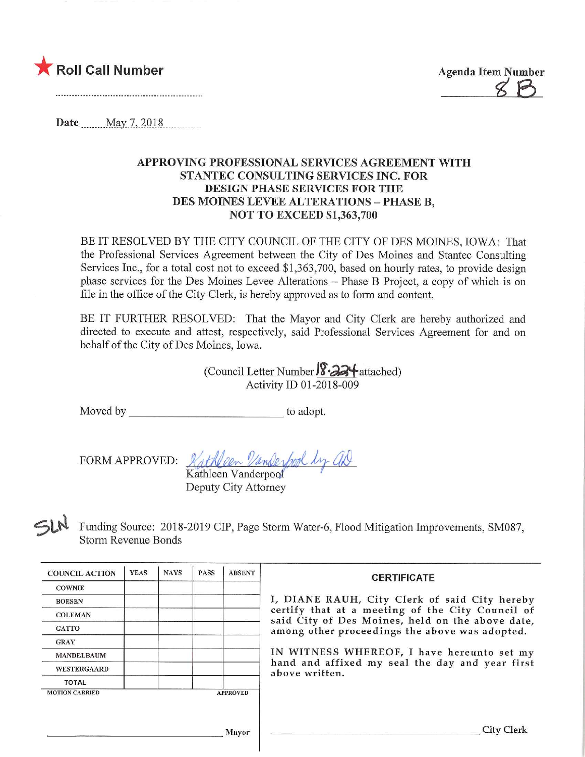

 $Z^2$ 

Date <u>May 7, 2018</u>

## APPROVING PROFESSIONAL SERVICES AGREEMENT WITH STANTEC CONSULTING SERVICES INC. FOR DESIGN PHASE SERVICES FOR THE DES MOINES LEVEE ALTERATIONS - PHASE B. NOT TO EXCEED \$1,363,700

BE IT RESOLVED BY THE CITY COUNCIL OF THE CITY OF DES MOINES, IOWA: That the Professional Services Agreement between the City of Des Moines and Stantec Consulting Services Inc., for a total cost not to exceed \$1,363,700, based on hourly rates, to provide design phase services for the Des Moines Levee Alterations - Phase B Project, a copy of which is on file in the office of the City Clerk, is hereby approved as to form and content.

BE IT FURTHER RESOLVED: That the Mayor and City Clerk are hereby authorized and directed to execute and attest, respectively, said Professional Services Agreement for and on behalf of the City of Des Moines, Iowa.

> (Council Letter Number **) 8.24** attached) Activity ID 01-2018-009

Moved by to adopt.

FORM APPROVED: Kathleen Vanderbook by UR Kathleen Vanderpool

Deputy City Attorney

 $\leq$ Funding Source: 2018-2019 CIP, Page Storm Water-6, Flood Mitigation Improvements, SM087, Storm Revenue Bonds

| <b>COUNCIL ACTION</b>                    | <b>YEAS</b> | <b>NAYS</b> | <b>PASS</b> | <b>ABSENT</b> | <b>CERTIFICATE</b>                                                                                                                                                                                      |  |  |  |
|------------------------------------------|-------------|-------------|-------------|---------------|---------------------------------------------------------------------------------------------------------------------------------------------------------------------------------------------------------|--|--|--|
| <b>COWNIE</b>                            |             |             |             |               |                                                                                                                                                                                                         |  |  |  |
| <b>BOESEN</b>                            |             |             |             |               | I, DIANE RAUH, City Clerk of said City hereby<br>certify that at a meeting of the City Council of<br>said City of Des Moines, held on the above date,<br>among other proceedings the above was adopted. |  |  |  |
| <b>COLEMAN</b>                           |             |             |             |               |                                                                                                                                                                                                         |  |  |  |
| <b>GATTO</b>                             |             |             |             |               |                                                                                                                                                                                                         |  |  |  |
| <b>GRAY</b>                              |             |             |             |               |                                                                                                                                                                                                         |  |  |  |
| <b>MANDELBAUM</b>                        |             |             |             |               | IN WITNESS WHEREOF, I have hereunto set my                                                                                                                                                              |  |  |  |
| <b>WESTERGAARD</b>                       |             |             |             |               | hand and affixed my seal the day and year first<br>above written.                                                                                                                                       |  |  |  |
| <b>TOTAL</b>                             |             |             |             |               |                                                                                                                                                                                                         |  |  |  |
| <b>MOTION CARRIED</b><br><b>APPROVED</b> |             |             |             |               |                                                                                                                                                                                                         |  |  |  |
|                                          |             |             |             |               |                                                                                                                                                                                                         |  |  |  |
|                                          |             |             |             |               |                                                                                                                                                                                                         |  |  |  |
| Mayor                                    |             |             |             |               | City C                                                                                                                                                                                                  |  |  |  |